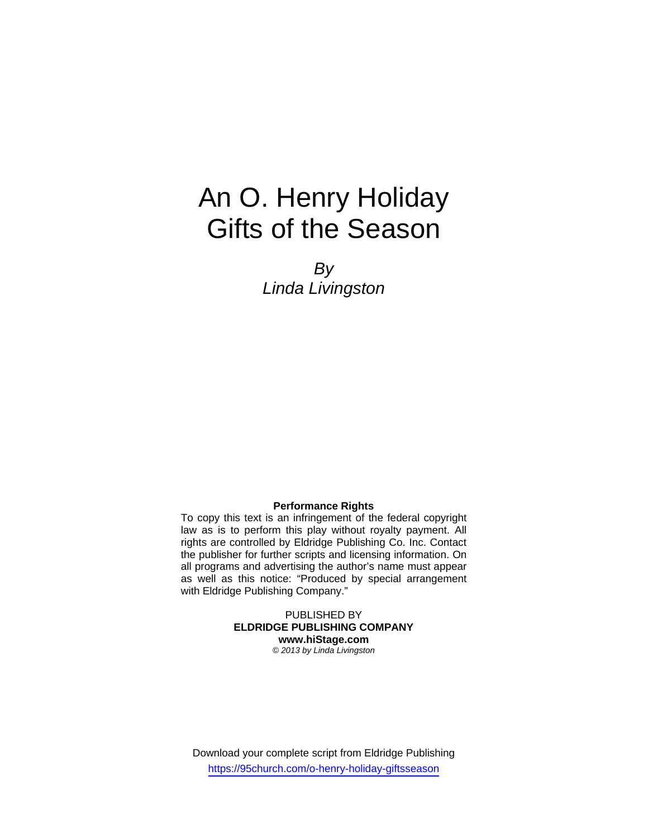# An O. Henry Holiday Gifts of the Season

*By Linda Livingston* 

#### **Performance Rights**

To copy this text is an infringement of the federal copyright law as is to perform this play without royalty payment. All rights are controlled by Eldridge Publishing Co. Inc. Contact the publisher for further scripts and licensing information. On all programs and advertising the author's name must appear as well as this notice: "Produced by special arrangement with Eldridge Publishing Company."

> PUBLISHED BY **ELDRIDGE PUBLISHING COMPANY www.hiStage.com**

*© 2013 by Linda Livingston*

Download your complete script from Eldridge Publishing https://95church.com/o-henry-holiday-giftsseason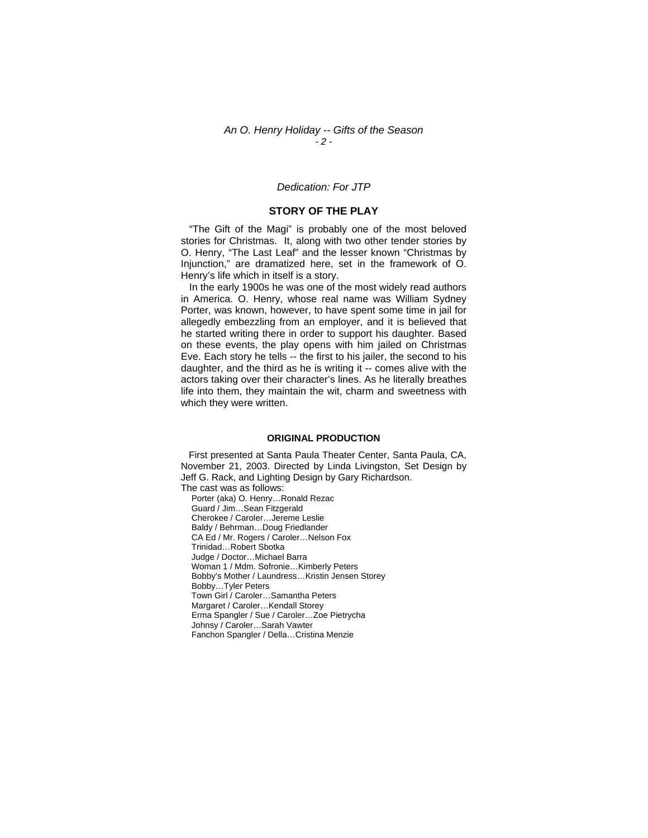#### *An O. Henry Holiday -- Gifts of the Season - 2 -*

#### *Dedication: For JTP*

#### **STORY OF THE PLAY**

 "The Gift of the Magi" is probably one of the most beloved stories for Christmas. It, along with two other tender stories by O. Henry, "The Last Leaf" and the lesser known "Christmas by Injunction," are dramatized here, set in the framework of O. Henry's life which in itself is a story.

 In the early 1900s he was one of the most widely read authors in America. O. Henry, whose real name was William Sydney Porter, was known, however, to have spent some time in jail for allegedly embezzling from an employer, and it is believed that he started writing there in order to support his daughter. Based on these events, the play opens with him jailed on Christmas Eve. Each story he tells -- the first to his jailer, the second to his daughter, and the third as he is writing it -- comes alive with the actors taking over their character's lines. As he literally breathes life into them, they maintain the wit, charm and sweetness with which they were written.

#### **ORIGINAL PRODUCTION**

 First presented at Santa Paula Theater Center, Santa Paula, CA, November 21, 2003. Directed by Linda Livingston, Set Design by Jeff G. Rack, and Lighting Design by Gary Richardson. The cast was as follows:

Porter (aka) O. Henry…Ronald Rezac Guard / Jim…Sean Fitzgerald Cherokee / Caroler…Jereme Leslie Baldy / Behrman…Doug Friedlander CA Ed / Mr. Rogers / Caroler…Nelson Fox Trinidad…Robert Sbotka Judge / Doctor…Michael Barra Woman 1 / Mdm. Sofronie…Kimberly Peters Bobby's Mother / Laundress…Kristin Jensen Storey Bobby…Tyler Peters Town Girl / Caroler…Samantha Peters Margaret / Caroler…Kendall Storey Erma Spangler / Sue / Caroler…Zoe Pietrycha Johnsy / Caroler…Sarah Vawter Fanchon Spangler / Della…Cristina Menzie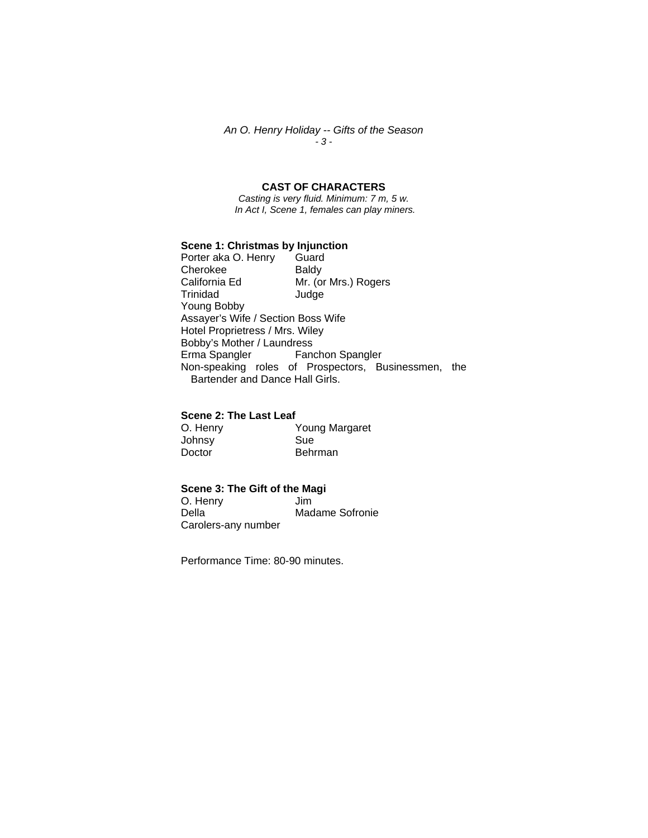*An O. Henry Holiday -- Gifts of the Season - 3 -* 

### **CAST OF CHARACTERS**

*Casting is very fluid. Minimum: 7 m, 5 w. In Act I, Scene 1, females can play miners.* 

# **Scene 1: Christmas by Injunction**<br>Porter aka O. Henry Guard

Porter aka O. Henry Cherokee Baldy<br>California Ed Mr. (or Mr. (or Mrs.) Rogers Trinidad Judge Young Bobby Assayer's Wife / Section Boss Wife Hotel Proprietress / Mrs. Wiley Bobby's Mother / Laundress<br>Erma Spangler Fand Fanchon Spangler Non-speaking roles of Prospectors, Businessmen, the Bartender and Dance Hall Girls.

#### **Scene 2: The Last Leaf**

| O. Henry | Young Margaret |
|----------|----------------|
| Johnsy   | Sue            |
| Doctor   | Behrman        |

## **Scene 3: The Gift of the Magi**

O. Henry<br>Della Madame Sofronie Carolers-any number

Performance Time: 80-90 minutes.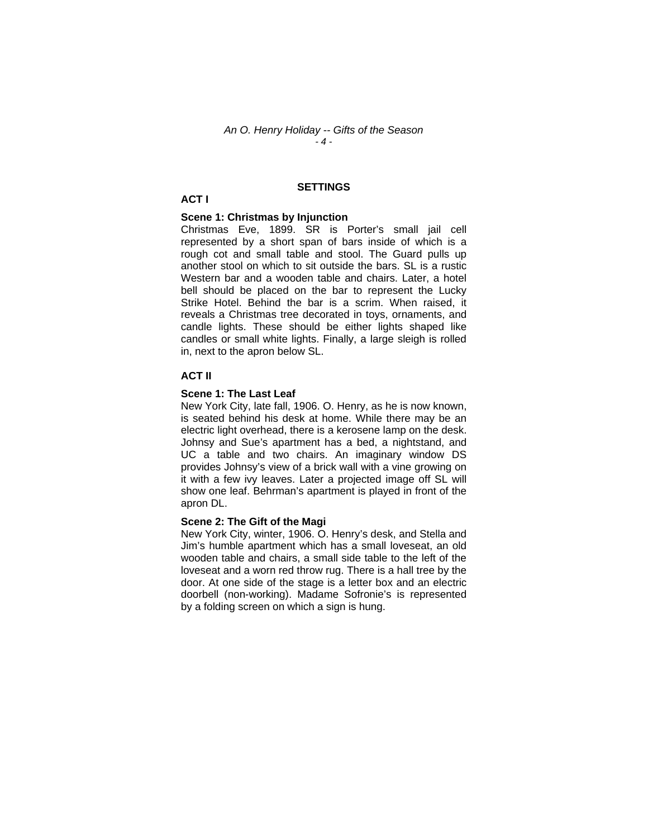#### *An O. Henry Holiday -- Gifts of the Season - 4 -*

#### **SETTINGS**

#### **ACT I**

#### **Scene 1: Christmas by Injunction**

Christmas Eve, 1899. SR is Porter's small jail cell represented by a short span of bars inside of which is a rough cot and small table and stool. The Guard pulls up another stool on which to sit outside the bars. SL is a rustic Western bar and a wooden table and chairs. Later, a hotel bell should be placed on the bar to represent the Lucky Strike Hotel. Behind the bar is a scrim. When raised, it reveals a Christmas tree decorated in toys, ornaments, and candle lights. These should be either lights shaped like candles or small white lights. Finally, a large sleigh is rolled in, next to the apron below SL.

#### **ACT II**

#### **Scene 1: The Last Leaf**

New York City, late fall, 1906. O. Henry, as he is now known, is seated behind his desk at home. While there may be an electric light overhead, there is a kerosene lamp on the desk. Johnsy and Sue's apartment has a bed, a nightstand, and UC a table and two chairs. An imaginary window DS provides Johnsy's view of a brick wall with a vine growing on it with a few ivy leaves. Later a projected image off SL will show one leaf. Behrman's apartment is played in front of the apron DL.

#### **Scene 2: The Gift of the Magi**

New York City, winter, 1906. O. Henry's desk, and Stella and Jim's humble apartment which has a small loveseat, an old wooden table and chairs, a small side table to the left of the loveseat and a worn red throw rug. There is a hall tree by the door. At one side of the stage is a letter box and an electric doorbell (non-working). Madame Sofronie's is represented by a folding screen on which a sign is hung.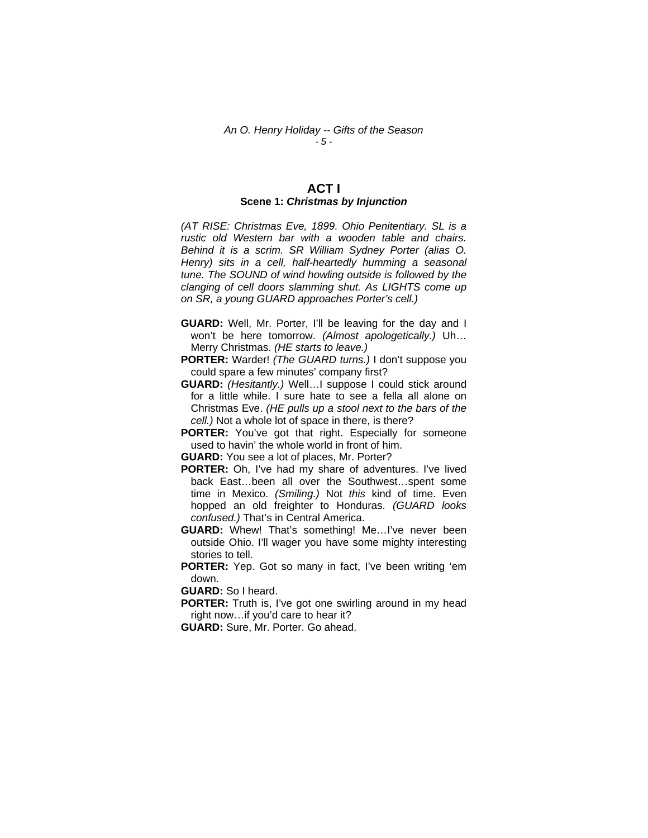#### **ACT I Scene 1:** *Christmas by Injunction*

*(AT RISE: Christmas Eve, 1899. Ohio Penitentiary. SL is a rustic old Western bar with a wooden table and chairs. Behind it is a scrim. SR William Sydney Porter (alias O. Henry) sits in a cell, half-heartedly humming a seasonal tune. The SOUND of wind howling outside is followed by the clanging of cell doors slamming shut. As LIGHTS come up on SR, a young GUARD approaches Porter's cell.)* 

- **GUARD:** Well, Mr. Porter, I'll be leaving for the day and I won't be here tomorrow. *(Almost apologetically.)* Uh… Merry Christmas. *(HE starts to leave.)*
- **PORTER:** Warder! *(The GUARD turns.)* I don't suppose you could spare a few minutes' company first?
- **GUARD:** *(Hesitantly.)* Well…I suppose I could stick around for a little while. I sure hate to see a fella all alone on Christmas Eve. *(HE pulls up a stool next to the bars of the cell.)* Not a whole lot of space in there, is there?
- **PORTER:** You've got that right. Especially for someone used to havin' the whole world in front of him.
- **GUARD:** You see a lot of places, Mr. Porter?
- **PORTER:** Oh, I've had my share of adventures. I've lived back East…been all over the Southwest…spent some time in Mexico. *(Smiling.)* Not *this* kind of time. Even hopped an old freighter to Honduras. *(GUARD looks confused.)* That's in Central America.
- **GUARD:** Whew! That's something! Me…I've never been outside Ohio. I'll wager you have some mighty interesting stories to tell.
- **PORTER:** Yep. Got so many in fact, I've been writing 'em down.

**GUARD:** So I heard.

- **PORTER:** Truth is, I've got one swirling around in my head right now…if you'd care to hear it?
- **GUARD:** Sure, Mr. Porter. Go ahead.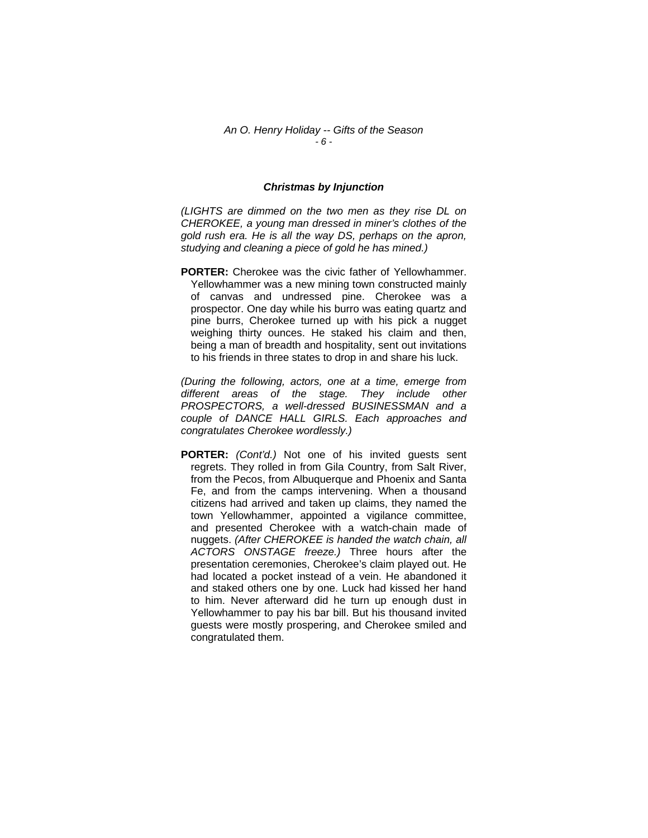#### *An O. Henry Holiday -- Gifts of the Season - 6 -*

#### *Christmas by Injunction*

*(LIGHTS are dimmed on the two men as they rise DL on CHEROKEE, a young man dressed in miner's clothes of the gold rush era. He is all the way DS, perhaps on the apron, studying and cleaning a piece of gold he has mined.)* 

**PORTER:** Cherokee was the civic father of Yellowhammer. Yellowhammer was a new mining town constructed mainly of canvas and undressed pine. Cherokee was a prospector. One day while his burro was eating quartz and pine burrs, Cherokee turned up with his pick a nugget weighing thirty ounces. He staked his claim and then, being a man of breadth and hospitality, sent out invitations to his friends in three states to drop in and share his luck.

*(During the following, actors, one at a time, emerge from different areas of the stage. They include other PROSPECTORS, a well-dressed BUSINESSMAN and a couple of DANCE HALL GIRLS. Each approaches and congratulates Cherokee wordlessly.)* 

**PORTER:** *(Cont'd.)* Not one of his invited guests sent regrets. They rolled in from Gila Country, from Salt River, from the Pecos, from Albuquerque and Phoenix and Santa Fe, and from the camps intervening. When a thousand citizens had arrived and taken up claims, they named the town Yellowhammer, appointed a vigilance committee, and presented Cherokee with a watch-chain made of nuggets. *(After CHEROKEE is handed the watch chain, all ACTORS ONSTAGE freeze.)* Three hours after the presentation ceremonies, Cherokee's claim played out. He had located a pocket instead of a vein. He abandoned it and staked others one by one. Luck had kissed her hand to him. Never afterward did he turn up enough dust in Yellowhammer to pay his bar bill. But his thousand invited guests were mostly prospering, and Cherokee smiled and congratulated them.